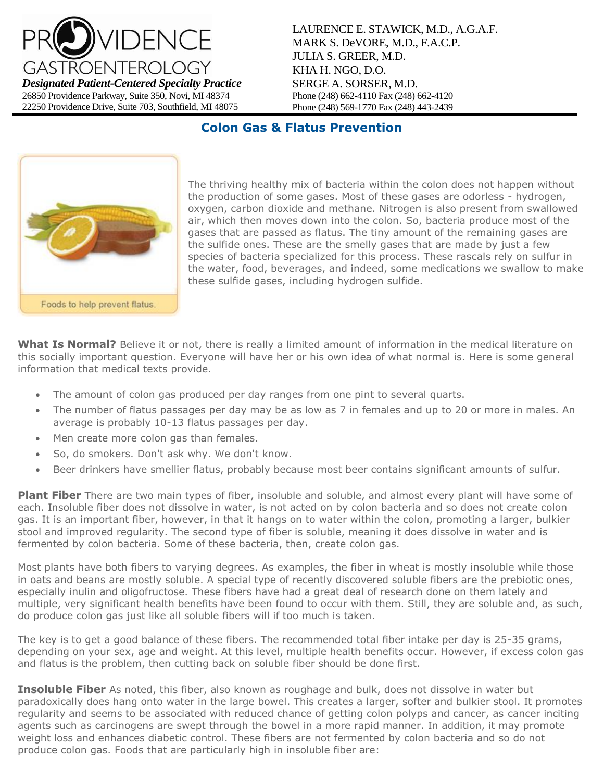

LAURENCE E. STAWICK, M.D., A.G.A.F. MARK S. DeVORE, M.D., F.A.C.P. JULIA S. GREER, M.D. KHA H. NGO, D.O. SERGE A. SORSER, M.D. Phone (248) 662-4110 Fax (248) 662-4120 Phone (248) 569-1770 Fax (248) 443-2439

## **Colon Gas & Flatus Prevention**



The thriving healthy mix of bacteria within the colon does not happen without the production of some gases. Most of these gases are odorless - hydrogen, oxygen, carbon dioxide and methane. Nitrogen is also present from swallowed air, which then moves down into the colon. So, bacteria produce most of the gases that are passed as flatus. The tiny amount of the remaining gases are the sulfide ones. These are the smelly gases that are made by just a few species of bacteria specialized for this process. These rascals rely on sulfur in the water, food, beverages, and indeed, some medications we swallow to make these sulfide gases, including hydrogen sulfide.

**What Is Normal?** Believe it or not, there is really a limited amount of information in the medical literature on this socially important question. Everyone will have her or his own idea of what normal is. Here is some general information that medical texts provide.

- The amount of colon gas produced per day ranges from one pint to several quarts.
- The number of flatus passages per day may be as low as 7 in females and up to 20 or more in males. An average is probably 10-13 flatus passages per day.
- Men create more colon gas than females.
- So, do smokers. Don't ask why. We don't know.
- Beer drinkers have smellier flatus, probably because most beer contains significant amounts of sulfur.

**Plant Fiber** There are two main types of fiber, insoluble and soluble, and almost every plant will have some of each. Insoluble fiber does not dissolve in water, is not acted on by colon bacteria and so does not create colon gas. It is an important fiber, however, in that it hangs on to water within the colon, promoting a larger, bulkier stool and improved regularity. The second type of fiber is soluble, meaning it does dissolve in water and is fermented by colon bacteria. Some of these bacteria, then, create colon gas.

Most plants have both fibers to varying degrees. As examples, the fiber in wheat is mostly insoluble while those in oats and beans are mostly soluble. A special type of recently discovered soluble fibers are the prebiotic ones, especially inulin and oligofructose. These fibers have had a great deal of research done on them lately and multiple, very significant health benefits have been found to occur with them. Still, they are soluble and, as such, do produce colon gas just like all soluble fibers will if too much is taken.

The key is to get a good balance of these fibers. The recommended total fiber intake per day is 25-35 grams, depending on your sex, age and weight. At this level, multiple health benefits occur. However, if excess colon gas and flatus is the problem, then cutting back on soluble fiber should be done first.

**Insoluble Fiber** As noted, this fiber, also known as roughage and bulk, does not dissolve in water but paradoxically does hang onto water in the large bowel. This creates a larger, softer and bulkier stool. It promotes regularity and seems to be associated with reduced chance of getting colon polyps and cancer, as cancer inciting agents such as carcinogens are swept through the bowel in a more rapid manner. In addition, it may promote weight loss and enhances diabetic control. These fibers are not fermented by colon bacteria and so do not produce colon gas. Foods that are particularly high in insoluble fiber are: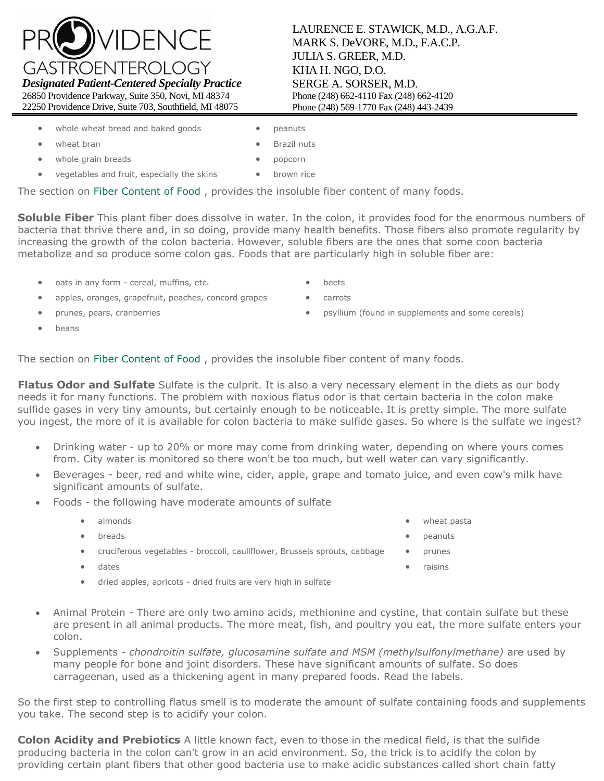**STROENTEROLOGY** *Designated Patient-Centered Specialty Practice*

26850 Providence Parkway, Suite 350, Novi, MI 48374 22250 Providence Drive, Suite 703, Southfield, MI 48075

- whole wheat bread and baked goods
- wheat bran
- whole grain breads
	- vegetables and fruit, especially the skins

The section on [Fiber Content of Food ,](http://www.jacksongi.com/Fiber-Content-Foods/Fiber_Content_Foods.aspx) provides the insoluble fiber content of many foods.

**Soluble Fiber** This plant fiber does dissolve in water. In the colon, it provides food for the enormous numbers of bacteria that thrive there and, in so doing, provide many health benefits. Those fibers also promote regularity by increasing the growth of the colon bacteria. However, soluble fibers are the ones that some coon bacteria metabolize and so produce some colon gas. Foods that are particularly high in soluble fiber are:

- oats in any form cereal, muffins, etc.
- apples, oranges, grapefruit, peaches, concord grapes
- prunes, pears, cranberries
- beets
- carrots
- psyllium (found in supplements and some cereals)

• beans

The section on [Fiber Content of Food ,](http://jacksongi/com/Fiber-Content-Foods/Fiber_Content_Foods.aspx) provides the insoluble fiber content of many foods.

**Flatus Odor and Sulfate** Sulfate is the culprit. It is also a very necessary element in the diets as our body needs it for many functions. The problem with noxious flatus odor is that certain bacteria in the colon make sulfide gases in very tiny amounts, but certainly enough to be noticeable. It is pretty simple. The more sulfate you ingest, the more of it is available for colon bacteria to make sulfide gases. So where is the sulfate we ingest?

- Drinking water up to 20% or more may come from drinking water, depending on where yours comes from. City water is monitored so there won't be too much, but well water can vary significantly.
- Beverages beer, red and white wine, cider, apple, grape and tomato juice, and even cow's milk have significant amounts of sulfate.
- Foods the following have moderate amounts of sulfate
	- almonds
		- **breads** 
			- cruciferous vegetables broccoli, cauliflower, Brussels sprouts, cabbage
		- dates
		- dried apples, apricots dried fruits are very high in sulfate
- Animal Protein There are only two amino acids, methionine and cystine, that contain sulfate but these are present in all animal products. The more meat, fish, and poultry you eat, the more sulfate enters your colon.
- Supplements *chondroitin sulfate, glucosamine sulfate and MSM (methylsulfonylmethane)* are used by many people for bone and joint disorders. These have significant amounts of sulfate. So does carrageenan, used as a thickening agent in many prepared foods. Read the labels.

So the first step to controlling flatus smell is to moderate the amount of sulfate containing foods and supplements you take. The second step is to acidify your colon.

**Colon Acidity and Prebiotics** A little known fact, even to those in the medical field, is that the sulfide producing bacteria in the colon can't grow in an acid environment. So, the trick is to acidify the colon by providing certain plant fibers that other good bacteria use to make acidic substances called short chain fatty



- peanuts
- prunes
- raisins



• peanuts • Brazil nuts • popcorn brown rice

LAURENCE E. STAWICK, M.D., A.G.A.F. MARK S. DeVORE, M.D., F.A.C.P. JULIA S. GREER, M.D. KHA H. NGO, D.O. SERGE A. SORSER, M.D. Phone (248) 662-4110 Fax (248) 662-4120 Phone (248) 569-1770 Fax (248) 443-2439